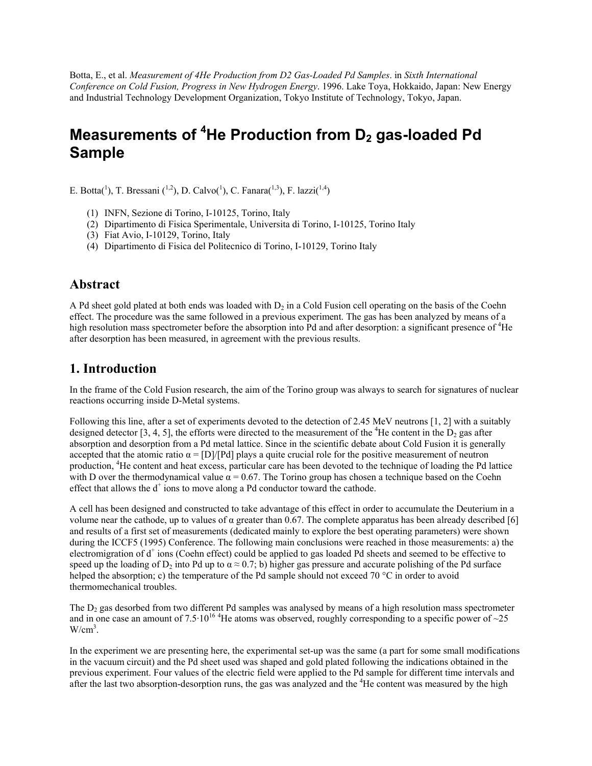Botta, E., et al. *Measurement of 4He Production from D2 Gas-Loaded Pd Samples*. in *Sixth International Conference on Cold Fusion, Progress in New Hydrogen Energy*. 1996. Lake Toya, Hokkaido, Japan: New Energy and Industrial Technology Development Organization, Tokyo Institute of Technology, Tokyo, Japan.

# Measurements of <sup>4</sup>He Production from D<sub>2</sub> gas-loaded Pd **Sample**

E. Botta(<sup>1</sup>), T. Bressani (<sup>1,2</sup>), D. Calvo(<sup>1</sup>), C. Fanara(<sup>1,3</sup>), F. lazzi(<sup>1,4</sup>)

- (1) INFN, Sezione di Torino, I-10125, Torino, Italy
- (2) Dipartimento di Fisica Sperimentale, Universita di Torino, I-10125, Torino Italy
- (3) Fiat Avio, I-10129, Torino, Italy
- (4) Dipartimento di Fisica del Politecnico di Torino, I-10129, Torino Italy

### **Abstract**

A Pd sheet gold plated at both ends was loaded with  $D_2$  in a Cold Fusion cell operating on the basis of the Coehn effect. The procedure was the same followed in a previous experiment. The gas has been analyzed by means of a high resolution mass spectrometer before the absorption into Pd and after desorption: a significant presence of <sup>4</sup>He after desorption has been measured, in agreement with the previous results.

## **1. Introduction**

In the frame of the Cold Fusion research, the aim of the Torino group was always to search for signatures of nuclear reactions occurring inside D-Metal systems.

Following this line, after a set of experiments devoted to the detection of 2.45 MeV neutrons [1, 2] with a suitably designed detector [3, 4, 5], the efforts were directed to the measurement of the <sup>4</sup>He content in the  $D_2$  gas after absorption and desorption from a Pd metal lattice. Since in the scientific debate about Cold Fusion it is generally accepted that the atomic ratio  $\alpha = [D]/[Pd]$  plays a quite crucial role for the positive measurement of neutron production, <sup>4</sup>He content and heat excess, particular care has been devoted to the technique of loading the Pd lattice with D over the thermodynamical value  $\alpha = 0.67$ . The Torino group has chosen a technique based on the Coehn effect that allows the d<sup>+</sup> ions to move along a Pd conductor toward the cathode.

A cell has been designed and constructed to take advantage of this effect in order to accumulate the Deuterium in a volume near the cathode, up to values of α greater than 0.67. The complete apparatus has been already described [6] and results of a first set of measurements (dedicated mainly to explore the best operating parameters) were shown during the ICCF5 (1995) Conference. The following main conclusions were reached in those measurements: a) the electromigration of d<sup>+</sup> ions (Coehn effect) could be applied to gas loaded Pd sheets and seemed to be effective to speed up the loading of D<sub>2</sub> into Pd up to  $\alpha \approx 0.7$ ; b) higher gas pressure and accurate polishing of the Pd surface helped the absorption; c) the temperature of the Pd sample should not exceed 70 °C in order to avoid thermomechanical troubles.

The  $D_2$  gas desorbed from two different Pd samples was analysed by means of a high resolution mass spectrometer and in one case an amount of 7.5·10<sup>16</sup> <sup>4</sup>He atoms was observed, roughly corresponding to a specific power of  $\sim$ 25  $W/cm<sup>3</sup>$ .

In the experiment we are presenting here, the experimental set-up was the same (a part for some small modifications in the vacuum circuit) and the Pd sheet used was shaped and gold plated following the indications obtained in the previous experiment. Four values of the electric field were applied to the Pd sample for different time intervals and after the last two absorption-desorption runs, the gas was analyzed and the <sup>4</sup>He content was measured by the high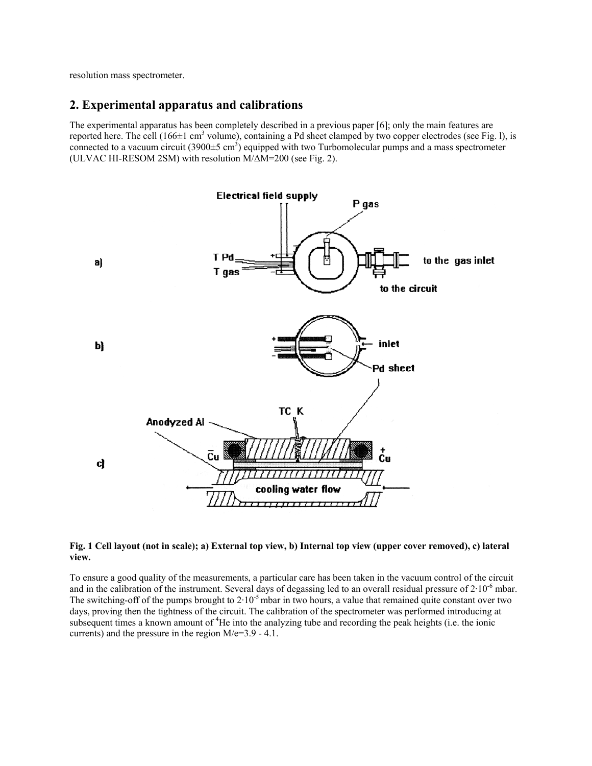resolution mass spectrometer.

### **2. Experimental apparatus and calibrations**

The experimental apparatus has been completely described in a previous paper [6]; only the main features are reported here. The cell (166 $\pm$ 1 cm<sup>3</sup> volume), containing a Pd sheet clamped by two copper electrodes (see Fig. 1), is connected to a vacuum circuit (3900 $\pm$ 5 cm<sup>3</sup>) equipped with two Turbomolecular pumps and a mass spectrometer (ULVAC HI-RESOM 2SM) with resolution M/∆M=200 (see Fig. 2).



#### **Fig. 1 Cell layout (not in scale); a) External top view, b) Internal top view (upper cover removed), c) lateral view.**

To ensure a good quality of the measurements, a particular care has been taken in the vacuum control of the circuit and in the calibration of the instrument. Several days of degassing led to an overall residual pressure of  $2.10^{-6}$  mbar. The switching-off of the pumps brought to 2·10<sup>-5</sup> mbar in two hours, a value that remained quite constant over two days, proving then the tightness of the circuit. The calibration of the spectrometer was performed introducing at subsequent times a known amount of <sup>4</sup>He into the analyzing tube and recording the peak heights (i.e. the ionic currents) and the pressure in the region M/e=3.9 - 4.1.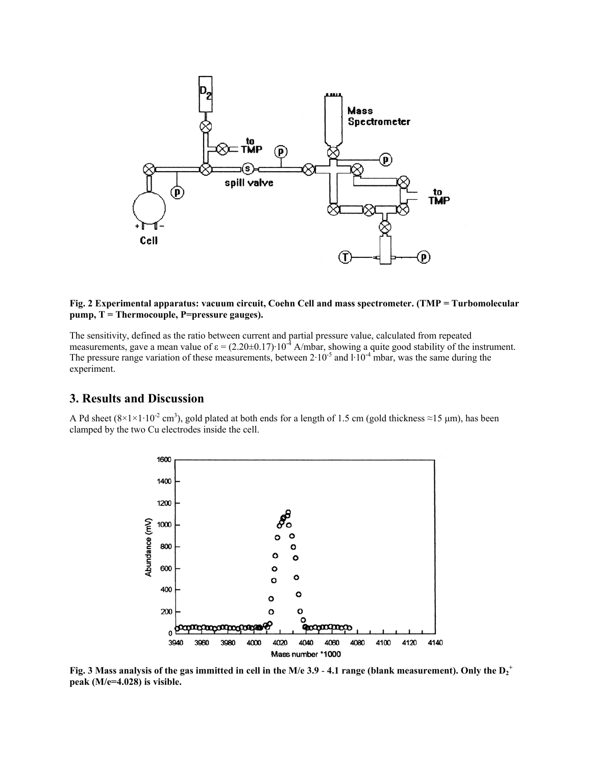

#### **Fig. 2 Experimental apparatus: vacuum circuit, Coehn Cell and mass spectrometer. (TMP = Turbomolecular pump, Τ = Thermocouple, P=pressure gauges).**

The sensitivity, defined as the ratio between current and partial pressure value, calculated from repeated measurements, gave a mean value of  $\varepsilon = (2.20 \pm 0.17) \cdot 10^{-4}$  A/mbar, showing a quite good stability of the instrument. The pressure range variation of these measurements, between  $2.10^{-5}$  and  $1.10^{-4}$  mbar, was the same during the experiment.

### **3. Results and Discussion**

A Pd sheet  $(8\times1\times1\cdot10^{-2}$  cm<sup>3</sup>), gold plated at both ends for a length of 1.5 cm (gold thickness  $\approx$ 15 µm), has been clamped by the two Cu electrodes inside the cell.



Fig. 3 Mass analysis of the gas immitted in cell in the M/e 3.9 - 4.1 range (blank measurement). Only the  $D_2^+$ **peak (M/e=4.028) is visible.**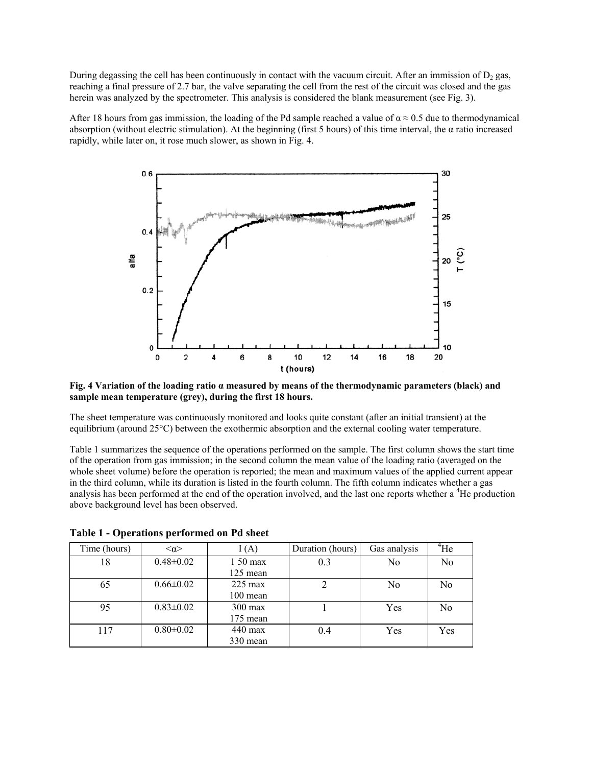During degassing the cell has been continuously in contact with the vacuum circuit. After an immission of  $D_2$  gas, reaching a final pressure of 2.7 bar, the valve separating the cell from the rest of the circuit was closed and the gas herein was analyzed by the spectrometer. This analysis is considered the blank measurement (see Fig. 3).

After 18 hours from gas immission, the loading of the Pd sample reached a value of  $\alpha \approx 0.5$  due to thermodynamical absorption (without electric stimulation). At the beginning (first 5 hours) of this time interval, the  $\alpha$  ratio increased rapidly, while later on, it rose much slower, as shown in Fig. 4.



#### **Fig. 4 Variation of the loading ratio α measured by means of the thermodynamic parameters (black) and sample mean temperature (grey), during the first 18 hours.**

The sheet temperature was continuously monitored and looks quite constant (after an initial transient) at the equilibrium (around 25°C) between the exothermic absorption and the external cooling water temperature.

Table 1 summarizes the sequence of the operations performed on the sample. The first column shows the start time of the operation from gas immission; in the second column the mean value of the loading ratio (averaged on the whole sheet volume) before the operation is reported; the mean and maximum values of the applied current appear in the third column, while its duration is listed in the fourth column. The fifth column indicates whether a gas analysis has been performed at the end of the operation involved, and the last one reports whether a <sup>4</sup>He production above background level has been observed.

| Time (hours) | $\leq \alpha$   | I(A)              | Duration (hours) | Gas analysis | <sup>4</sup> He |
|--------------|-----------------|-------------------|------------------|--------------|-----------------|
| 18           | $0.48 \pm 0.02$ | 1 50 max          | 0.3              | No           | No              |
|              |                 | $125$ mean        |                  |              |                 |
| 65           | $0.66 \pm 0.02$ | $225 \text{ max}$ | າ                | No           | No              |
|              |                 | $100$ mean        |                  |              |                 |
| 95           | $0.83 \pm 0.02$ | $300 \text{ max}$ |                  | Yes          | N <sub>0</sub>  |
|              |                 | 175 mean          |                  |              |                 |
| 117          | $0.80 \pm 0.02$ | 440 max           | 0.4              | Yes          | Yes             |
|              |                 | 330 mean          |                  |              |                 |

**Table 1 - Operations performed on Pd sheet**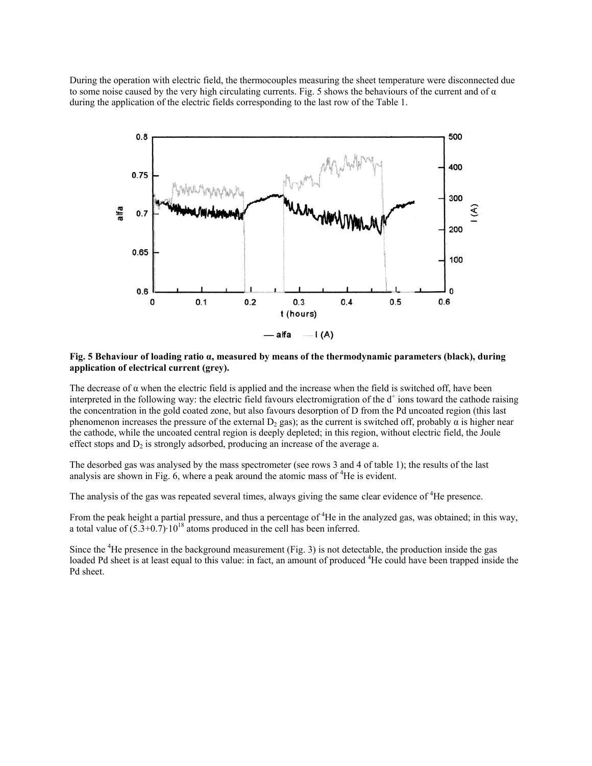During the operation with electric field, the thermocouples measuring the sheet temperature were disconnected due to some noise caused by the very high circulating currents. Fig. 5 shows the behaviours of the current and of  $\alpha$ during the application of the electric fields corresponding to the last row of the Table 1.



#### **Fig. 5 Behaviour of loading ratio α, measured by means of the thermodynamic parameters (black), during application of electrical current (grey).**

The decrease of  $\alpha$  when the electric field is applied and the increase when the field is switched off, have been interpreted in the following way: the electric field favours electromigration of the  $d^+$  ions toward the cathode raising the concentration in the gold coated zone, but also favours desorption of D from the Pd uncoated region (this last phenomenon increases the pressure of the external  $D_2$  gas); as the current is switched off, probably  $\alpha$  is higher near the cathode, while the uncoated central region is deeply depleted; in this region, without electric field, the Joule effect stops and  $D_2$  is strongly adsorbed, producing an increase of the average a.

The desorbed gas was analysed by the mass spectrometer (see rows 3 and 4 of table 1); the results of the last analysis are shown in Fig.  $6$ , where a peak around the atomic mass of  ${}^{4}$ He is evident.

The analysis of the gas was repeated several times, always giving the same clear evidence of <sup>4</sup>He presence.

From the peak height a partial pressure, and thus a percentage of  ${}^{4}$ He in the analyzed gas, was obtained; in this way, a total value of  $(5.3+0.7) \cdot 10^{18}$  atoms produced in the cell has been inferred.

Since the <sup>4</sup>He presence in the background measurement (Fig. 3) is not detectable, the production inside the gas loaded Pd sheet is at least equal to this value: in fact, an amount of produced <sup>4</sup>He could have been trapped inside the Pd sheet.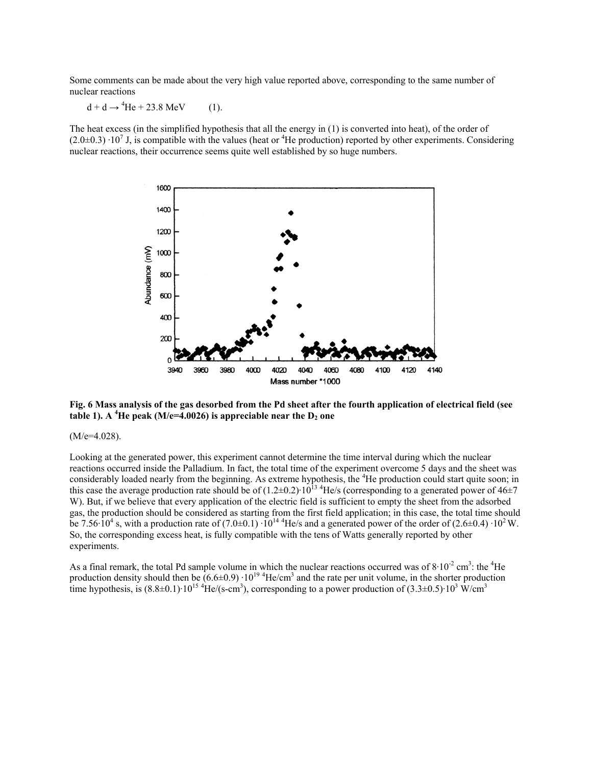Some comments can be made about the very high value reported above, corresponding to the same number of nuclear reactions

 $d + d \rightarrow {}^{4}He + 23.8 \text{ MeV}$  (1).

The heat excess (in the simplified hypothesis that all the energy in (1) is converted into heat), of the order of  $(2.0\pm0.3) \cdot 10^7$  J, is compatible with the values (heat or <sup>4</sup>He production) reported by other experiments. Considering nuclear reactions, their occurrence seems quite well established by so huge numbers.



**Fig. 6 Mass analysis of the gas desorbed from the Pd sheet after the fourth application of electrical field (see**  table 1). A <sup>4</sup>He peak (M/e=4.0026) is appreciable near the D<sub>2</sub> one

 $(M/e=4.028)$ .

Looking at the generated power, this experiment cannot determine the time interval during which the nuclear reactions occurred inside the Palladium. In fact, the total time of the experiment overcome 5 days and the sheet was considerably loaded nearly from the beginning. As extreme hypothesis, the <sup>4</sup>He production could start quite soon; in this case the average production rate should be of  $(1.2\pm0.2)\cdot10^{13}$  <sup>4</sup>He/s (corresponding to a generated power of 46 $\pm$ 7 W). But, if we believe that every application of the electric field is sufficient to empty the sheet from the adsorbed gas, the production should be considered as starting from the first field application; in this case, the total time should be 7.56 $\cdot 10^4$  s, with a production rate of (7.0±0.1)  $\cdot 10^{14}$  <sup>4</sup>He/s and a generated power of the order of (2.6±0.4)  $\cdot 10^2$  W. So, the corresponding excess heat, is fully compatible with the tens of Watts generally reported by other experiments.

As a final remark, the total Pd sample volume in which the nuclear reactions occurred was of  $8 \cdot 10^{-2}$  cm<sup>3</sup>: the <sup>4</sup>He production density should then be  $(6.6\pm0.9) \cdot 10^{19}$  <sup>4</sup>He/cm<sup>3</sup> and the rate per unit volume, in the shorter production time hypothesis, is  $(8.8\pm0.1)\cdot10^{15}$  <sup>4</sup>He/(s-cm<sup>3</sup>), corresponding to a power production of  $(3.3\pm0.5)\cdot10^3$  W/cm<sup>3</sup>